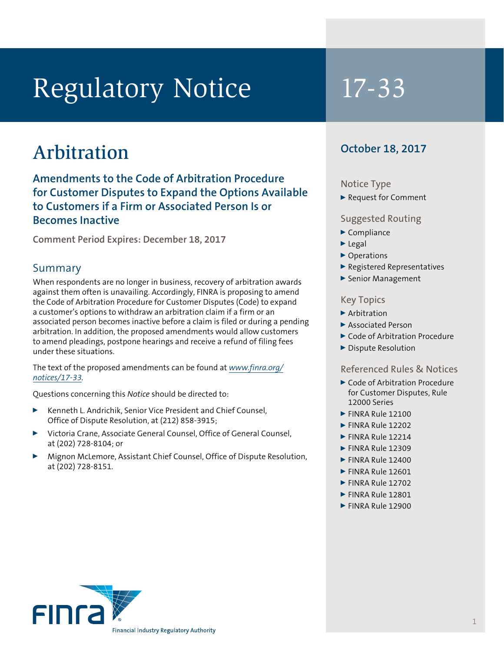# Regulatory Notice 17-33

## Arbitration

**Amendments to the Code of Arbitration Procedure for Customer Disputes to Expand the Options Available to Customers if a Firm or Associated Person Is or Becomes Inactive**

**Comment Period Expires: December 18, 2017**

#### Summary

When respondents are no longer in business, recovery of arbitration awards against them often is unavailing. Accordingly, FINRA is proposing to amend the Code of Arbitration Procedure for Customer Disputes (Code) to expand a customer's options to withdraw an arbitration claim if a firm or an associated person becomes inactive before a claim is filed or during a pending arbitration. In addition, the proposed amendments would allow customers to amend pleadings, postpone hearings and receive a refund of filing fees under these situations.

The text of the proposed amendments can be found at *[www.finra.org/](http://www.finra.org/notices/17-33) [notices/17-33](http://www.finra.org/notices/17-33).*

Questions concerning this *Notice* should be directed to:

- <sup>0</sup> Kenneth L. Andrichik, Senior Vice President and Chief Counsel, Office of Dispute Resolution, at (212) 858-3915;
- <sup>0</sup> Victoria Crane, Associate General Counsel, Office of General Counsel, at (202) 728-8104; or
- <sup>0</sup> Mignon McLemore, Assistant Chief Counsel, Office of Dispute Resolution, at (202) 728-8151.

### **October 18, 2017**

#### Notice Type

Request for Comment

#### Suggested Routing

- $\blacktriangleright$  Compliance
- $\blacktriangleright$  Legal
- ▶ Operations
- <sup>0</sup> Registered Representatives
- ▶ Senior Management

#### Key Topics

- $\blacktriangleright$  Arbitration
- ▶ Associated Person
- ▶ Code of Arbitration Procedure
- Dispute Resolution

#### Referenced Rules & Notices

- $\triangleright$  Code of Arbitration Procedure for Customer Disputes, Rule 12000 Series
- $\blacktriangleright$  FINRA Rule 12100
- $\blacktriangleright$  FINRA Rule 12202
- $\blacktriangleright$  FINRA Rule 12214
- FINRA Rule 12309
- $\blacktriangleright$  FINRA Rule 12400
- $\blacktriangleright$  FINRA Rule 12601
- $\blacktriangleright$  FINRA Rule 12702
- $\blacktriangleright$  FINRA Rule 12801
- $\blacktriangleright$  FINRA Rule 12900

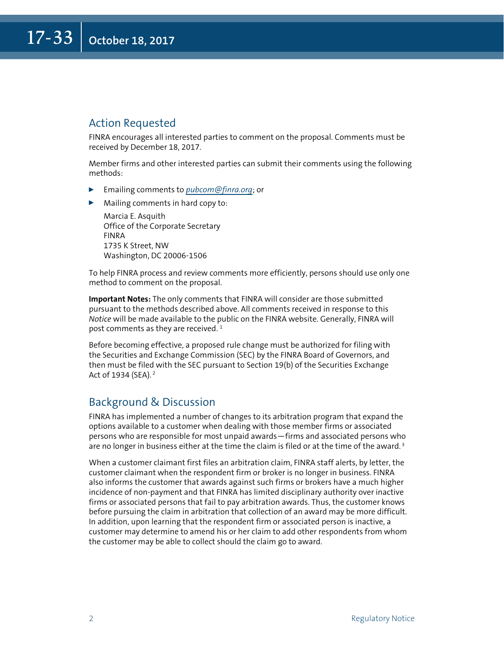#### Action Requested

FINRA encourages all interested parties to comment on the proposal. Comments must be received by December 18, 2017.

Member firms and other interested parties can submit their comments using the following methods:

- <sup>0</sup> Emailing comments to *pubcom@finra.org*; or
- $\blacktriangleright$  Mailing comments in hard copy to:

Marcia E. Asquith Office of the Corporate Secretary FINRA 1735 K Street, NW Washington, DC 20006-1506

To help FINRA process and review comments more efficiently, persons should use only one method to comment on the proposal.

**Important Notes:** The only comments that FINRA will consider are those submitted pursuant to the methods described above. All comments received in response to this *Notice* will be made available to the public on the FINRA website. Generally, FINRA will post comments as they are received.<sup>1</sup>

Before becoming effective, a proposed rule change must be authorized for filing with the Securities and Exchange Commission (SEC) by the FINRA Board of Governors, and then must be filed with the SEC pursuant to Section 19(b) of the Securities Exchange Act of 1934 (SEA). 2

#### Background & Discussion

FINRA has implemented a number of changes to its arbitration program that expand the options available to a customer when dealing with those member firms or associated persons who are responsible for most unpaid awards—firms and associated persons who are no longer in business either at the time the claim is filed or at the time of the award.<sup>3</sup>

When a customer claimant first files an arbitration claim, FINRA staff alerts, by letter, the customer claimant when the respondent firm or broker is no longer in business. FINRA also informs the customer that awards against such firms or brokers have a much higher incidence of non-payment and that FINRA has limited disciplinary authority over inactive firms or associated persons that fail to pay arbitration awards. Thus, the customer knows before pursuing the claim in arbitration that collection of an award may be more difficult. In addition, upon learning that the respondent firm or associated person is inactive, a customer may determine to amend his or her claim to add other respondents from whom the customer may be able to collect should the claim go to award.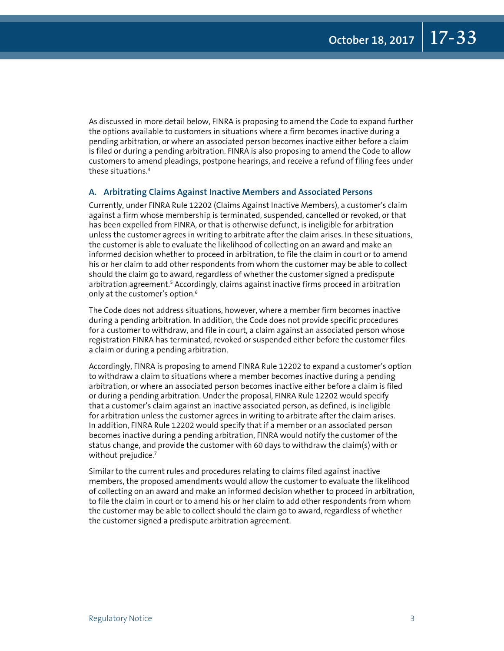As discussed in more detail below, FINRA is proposing to amend the Code to expand further the options available to customers in situations where a firm becomes inactive during a pending arbitration, or where an associated person becomes inactive either before a claim is filed or during a pending arbitration. FINRA is also proposing to amend the Code to allow customers to amend pleadings, postpone hearings, and receive a refund of filing fees under these situations.4

#### **A. Arbitrating Claims Against Inactive Members and Associated Persons**

Currently, under FINRA Rule 12202 (Claims Against Inactive Members), a customer's claim against a firm whose membership is terminated, suspended, cancelled or revoked, or that has been expelled from FINRA, or that is otherwise defunct, is ineligible for arbitration unless the customer agrees in writing to arbitrate after the claim arises. In these situations, the customer is able to evaluate the likelihood of collecting on an award and make an informed decision whether to proceed in arbitration, to file the claim in court or to amend his or her claim to add other respondents from whom the customer may be able to collect should the claim go to award, regardless of whether the customer signed a predispute arbitration agreement.<sup>5</sup> Accordingly, claims against inactive firms proceed in arbitration only at the customer's option.<sup>6</sup>

The Code does not address situations, however, where a member firm becomes inactive during a pending arbitration. In addition, the Code does not provide specific procedures for a customer to withdraw, and file in court, a claim against an associated person whose registration FINRA has terminated, revoked or suspended either before the customer files a claim or during a pending arbitration.

Accordingly, FINRA is proposing to amend FINRA Rule 12202 to expand a customer's option to withdraw a claim to situations where a member becomes inactive during a pending arbitration, or where an associated person becomes inactive either before a claim is filed or during a pending arbitration. Under the proposal, FINRA Rule 12202 would specify that a customer's claim against an inactive associated person, as defined, is ineligible for arbitration unless the customer agrees in writing to arbitrate after the claim arises. In addition, FINRA Rule 12202 would specify that if a member or an associated person becomes inactive during a pending arbitration, FINRA would notify the customer of the status change, and provide the customer with 60 days to withdraw the claim(s) with or without prejudice.<sup>7</sup>

Similar to the current rules and procedures relating to claims filed against inactive members, the proposed amendments would allow the customer to evaluate the likelihood of collecting on an award and make an informed decision whether to proceed in arbitration, to file the claim in court or to amend his or her claim to add other respondents from whom the customer may be able to collect should the claim go to award, regardless of whether the customer signed a predispute arbitration agreement.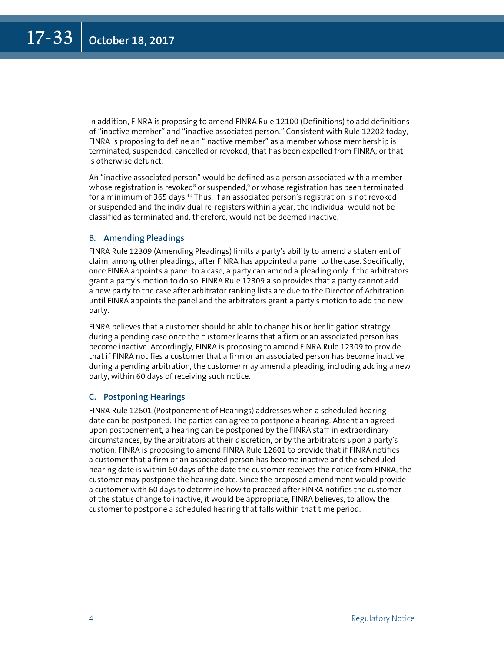In addition, FINRA is proposing to amend FINRA Rule 12100 (Definitions) to add definitions of "inactive member" and "inactive associated person." Consistent with Rule 12202 today, FINRA is proposing to define an "inactive member" as a member whose membership is terminated, suspended, cancelled or revoked; that has been expelled from FINRA; or that is otherwise defunct.

An "inactive associated person" would be defined as a person associated with a member whose registration is revoked<sup>8</sup> or suspended,<sup>9</sup> or whose registration has been terminated for a minimum of 365 days.<sup>10</sup> Thus, if an associated person's registration is not revoked or suspended and the individual re-registers within a year, the individual would not be classified as terminated and, therefore, would not be deemed inactive.

#### **B. Amending Pleadings**

FINRA Rule 12309 (Amending Pleadings) limits a party's ability to amend a statement of claim, among other pleadings, after FINRA has appointed a panel to the case. Specifically, once FINRA appoints a panel to a case, a party can amend a pleading only if the arbitrators grant a party's motion to do so. FINRA Rule 12309 also provides that a party cannot add a new party to the case after arbitrator ranking lists are due to the Director of Arbitration until FINRA appoints the panel and the arbitrators grant a party's motion to add the new party.

FINRA believes that a customer should be able to change his or her litigation strategy during a pending case once the customer learns that a firm or an associated person has become inactive. Accordingly, FINRA is proposing to amend FINRA Rule 12309 to provide that if FINRA notifies a customer that a firm or an associated person has become inactive during a pending arbitration, the customer may amend a pleading, including adding a new party, within 60 days of receiving such notice.

#### **C. Postponing Hearings**

FINRA Rule 12601 (Postponement of Hearings) addresses when a scheduled hearing date can be postponed. The parties can agree to postpone a hearing. Absent an agreed upon postponement, a hearing can be postponed by the FINRA staff in extraordinary circumstances, by the arbitrators at their discretion, or by the arbitrators upon a party's motion. FINRA is proposing to amend FINRA Rule 12601 to provide that if FINRA notifies a customer that a firm or an associated person has become inactive and the scheduled hearing date is within 60 days of the date the customer receives the notice from FINRA, the customer may postpone the hearing date. Since the proposed amendment would provide a customer with 60 days to determine how to proceed after FINRA notifies the customer of the status change to inactive, it would be appropriate, FINRA believes, to allow the customer to postpone a scheduled hearing that falls within that time period.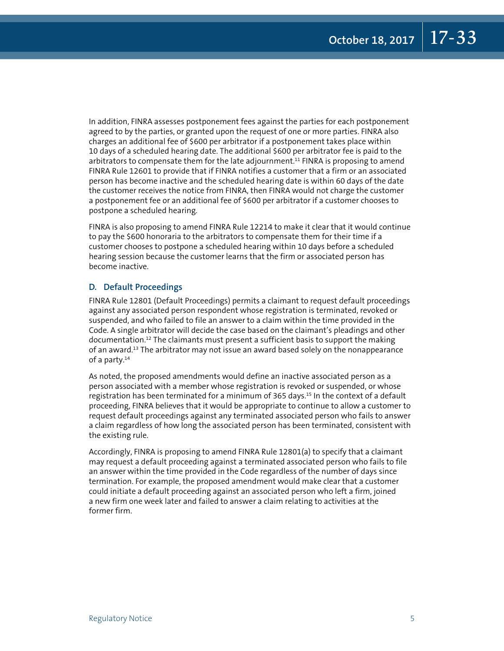In addition, FINRA assesses postponement fees against the parties for each postponement agreed to by the parties, or granted upon the request of one or more parties. FINRA also charges an additional fee of \$600 per arbitrator if a postponement takes place within 10 days of a scheduled hearing date. The additional \$600 per arbitrator fee is paid to the arbitrators to compensate them for the late adjournment.<sup>11</sup> FINRA is proposing to amend FINRA Rule 12601 to provide that if FINRA notifies a customer that a firm or an associated person has become inactive and the scheduled hearing date is within 60 days of the date the customer receives the notice from FINRA, then FINRA would not charge the customer a postponement fee or an additional fee of \$600 per arbitrator if a customer chooses to postpone a scheduled hearing.

FINRA is also proposing to amend FINRA Rule 12214 to make it clear that it would continue to pay the \$600 honoraria to the arbitrators to compensate them for their time if a customer chooses to postpone a scheduled hearing within 10 days before a scheduled hearing session because the customer learns that the firm or associated person has become inactive.

#### **D. Default Proceedings**

FINRA Rule 12801 (Default Proceedings) permits a claimant to request default proceedings against any associated person respondent whose registration is terminated, revoked or suspended, and who failed to file an answer to a claim within the time provided in the Code. A single arbitrator will decide the case based on the claimant's pleadings and other documentation.12 The claimants must present a sufficient basis to support the making of an award.<sup>13</sup> The arbitrator may not issue an award based solely on the nonappearance of a party.14

As noted, the proposed amendments would define an inactive associated person as a person associated with a member whose registration is revoked or suspended, or whose registration has been terminated for a minimum of 365 days.15 In the context of a default proceeding, FINRA believes that it would be appropriate to continue to allow a customer to request default proceedings against any terminated associated person who fails to answer a claim regardless of how long the associated person has been terminated, consistent with the existing rule.

Accordingly, FINRA is proposing to amend FINRA Rule 12801(a) to specify that a claimant may request a default proceeding against a terminated associated person who fails to file an answer within the time provided in the Code regardless of the number of days since termination. For example, the proposed amendment would make clear that a customer could initiate a default proceeding against an associated person who left a firm, joined a new firm one week later and failed to answer a claim relating to activities at the former firm.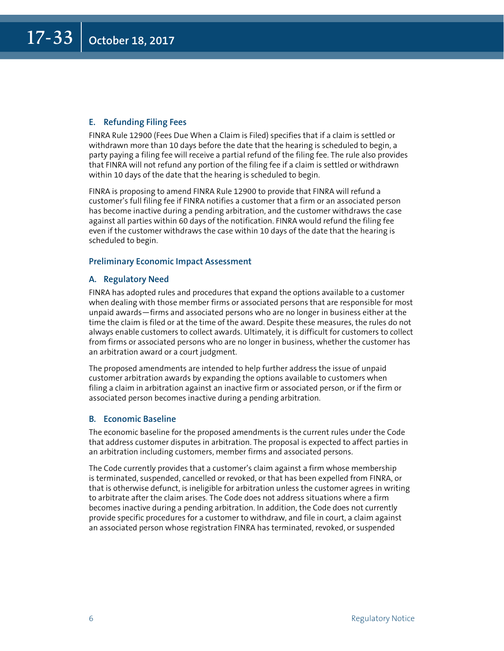#### **E. Refunding Filing Fees**

FINRA Rule 12900 (Fees Due When a Claim is Filed) specifies that if a claim is settled or withdrawn more than 10 days before the date that the hearing is scheduled to begin, a party paying a filing fee will receive a partial refund of the filing fee. The rule also provides that FINRA will not refund any portion of the filing fee if a claim is settled or withdrawn within 10 days of the date that the hearing is scheduled to begin.

FINRA is proposing to amend FINRA Rule 12900 to provide that FINRA will refund a customer's full filing fee if FINRA notifies a customer that a firm or an associated person has become inactive during a pending arbitration, and the customer withdraws the case against all parties within 60 days of the notification. FINRA would refund the filing fee even if the customer withdraws the case within 10 days of the date that the hearing is scheduled to begin.

#### **Preliminary Economic Impact Assessment**

#### **A. Regulatory Need**

FINRA has adopted rules and procedures that expand the options available to a customer when dealing with those member firms or associated persons that are responsible for most unpaid awards—firms and associated persons who are no longer in business either at the time the claim is filed or at the time of the award. Despite these measures, the rules do not always enable customers to collect awards. Ultimately, it is difficult for customers to collect from firms or associated persons who are no longer in business, whether the customer has an arbitration award or a court judgment.

The proposed amendments are intended to help further address the issue of unpaid customer arbitration awards by expanding the options available to customers when filing a claim in arbitration against an inactive firm or associated person, or if the firm or associated person becomes inactive during a pending arbitration.

#### **B. Economic Baseline**

The economic baseline for the proposed amendments is the current rules under the Code that address customer disputes in arbitration. The proposal is expected to affect parties in an arbitration including customers, member firms and associated persons.

The Code currently provides that a customer's claim against a firm whose membership is terminated, suspended, cancelled or revoked, or that has been expelled from FINRA, or that is otherwise defunct, is ineligible for arbitration unless the customer agrees in writing to arbitrate after the claim arises. The Code does not address situations where a firm becomes inactive during a pending arbitration. In addition, the Code does not currently provide specific procedures for a customer to withdraw, and file in court, a claim against an associated person whose registration FINRA has terminated, revoked, or suspended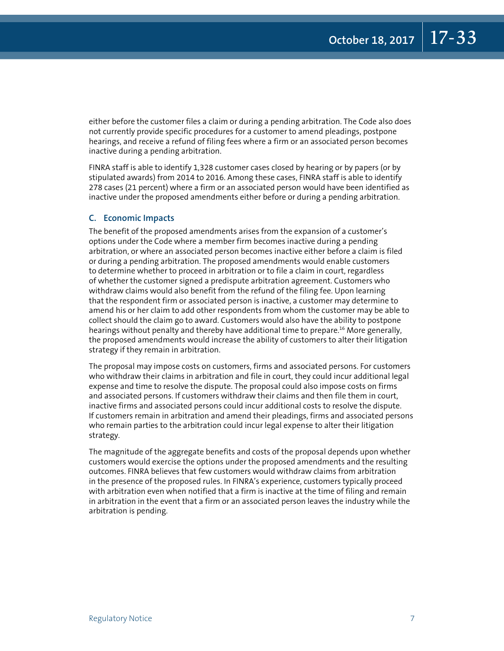either before the customer files a claim or during a pending arbitration. The Code also does not currently provide specific procedures for a customer to amend pleadings, postpone hearings, and receive a refund of filing fees where a firm or an associated person becomes inactive during a pending arbitration.

FINRA staff is able to identify 1,328 customer cases closed by hearing or by papers (or by stipulated awards) from 2014 to 2016. Among these cases, FINRA staff is able to identify 278 cases (21 percent) where a firm or an associated person would have been identified as inactive under the proposed amendments either before or during a pending arbitration.

#### **C. Economic Impacts**

The benefit of the proposed amendments arises from the expansion of a customer's options under the Code where a member firm becomes inactive during a pending arbitration, or where an associated person becomes inactive either before a claim is filed or during a pending arbitration. The proposed amendments would enable customers to determine whether to proceed in arbitration or to file a claim in court, regardless of whether the customer signed a predispute arbitration agreement. Customers who withdraw claims would also benefit from the refund of the filing fee. Upon learning that the respondent firm or associated person is inactive, a customer may determine to amend his or her claim to add other respondents from whom the customer may be able to collect should the claim go to award. Customers would also have the ability to postpone hearings without penalty and thereby have additional time to prepare.<sup>16</sup> More generally, the proposed amendments would increase the ability of customers to alter their litigation strategy if they remain in arbitration.

The proposal may impose costs on customers, firms and associated persons. For customers who withdraw their claims in arbitration and file in court, they could incur additional legal expense and time to resolve the dispute. The proposal could also impose costs on firms and associated persons. If customers withdraw their claims and then file them in court, inactive firms and associated persons could incur additional costs to resolve the dispute. If customers remain in arbitration and amend their pleadings, firms and associated persons who remain parties to the arbitration could incur legal expense to alter their litigation strategy.

The magnitude of the aggregate benefits and costs of the proposal depends upon whether customers would exercise the options under the proposed amendments and the resulting outcomes. FINRA believes that few customers would withdraw claims from arbitration in the presence of the proposed rules. In FINRA's experience, customers typically proceed with arbitration even when notified that a firm is inactive at the time of filing and remain in arbitration in the event that a firm or an associated person leaves the industry while the arbitration is pending.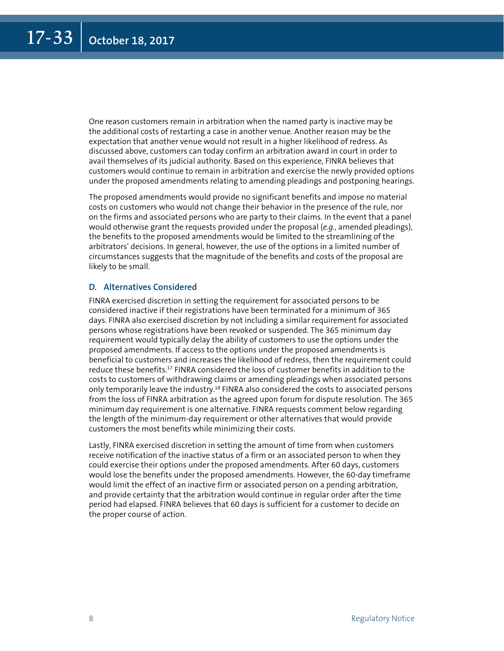One reason customers remain in arbitration when the named party is inactive may be the additional costs of restarting a case in another venue. Another reason may be the expectation that another venue would not result in a higher likelihood of redress. As discussed above, customers can today confirm an arbitration award in court in order to avail themselves of its judicial authority. Based on this experience, FINRA believes that customers would continue to remain in arbitration and exercise the newly provided options under the proposed amendments relating to amending pleadings and postponing hearings.

The proposed amendments would provide no significant benefits and impose no material costs on customers who would not change their behavior in the presence of the rule, nor on the firms and associated persons who are party to their claims. In the event that a panel would otherwise grant the requests provided under the proposal (*e.g.*, amended pleadings), the benefits to the proposed amendments would be limited to the streamlining of the arbitrators' decisions. In general, however, the use of the options in a limited number of circumstances suggests that the magnitude of the benefits and costs of the proposal are likely to be small.

#### **D. Alternatives Considered**

FINRA exercised discretion in setting the requirement for associated persons to be considered inactive if their registrations have been terminated for a minimum of 365 days. FINRA also exercised discretion by not including a similar requirement for associated persons whose registrations have been revoked or suspended. The 365 minimum day requirement would typically delay the ability of customers to use the options under the proposed amendments. If access to the options under the proposed amendments is beneficial to customers and increases the likelihood of redress, then the requirement could reduce these benefits.17 FINRA considered the loss of customer benefits in addition to the costs to customers of withdrawing claims or amending pleadings when associated persons only temporarily leave the industry.<sup>18</sup> FINRA also considered the costs to associated persons from the loss of FINRA arbitration as the agreed upon forum for dispute resolution. The 365 minimum day requirement is one alternative. FINRA requests comment below regarding the length of the minimum-day requirement or other alternatives that would provide customers the most benefits while minimizing their costs.

Lastly, FINRA exercised discretion in setting the amount of time from when customers receive notification of the inactive status of a firm or an associated person to when they could exercise their options under the proposed amendments. After 60 days, customers would lose the benefits under the proposed amendments. However, the 60-day timeframe would limit the effect of an inactive firm or associated person on a pending arbitration, and provide certainty that the arbitration would continue in regular order after the time period had elapsed. FINRA believes that 60 days is sufficient for a customer to decide on the proper course of action.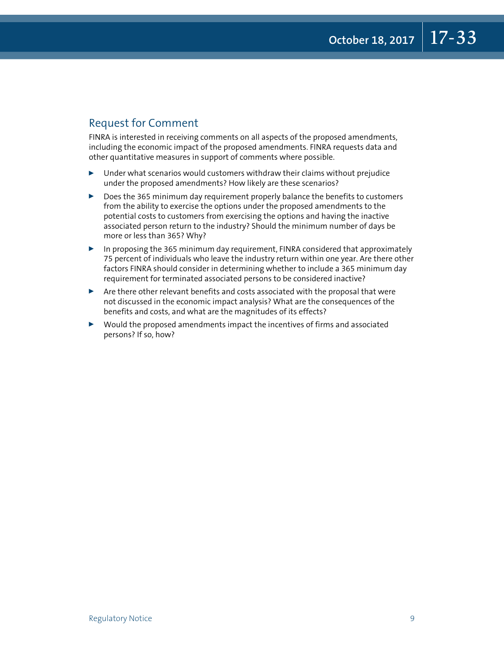#### Request for Comment

FINRA is interested in receiving comments on all aspects of the proposed amendments, including the economic impact of the proposed amendments. FINRA requests data and other quantitative measures in support of comments where possible.

- $\triangleright$  Under what scenarios would customers withdraw their claims without prejudice under the proposed amendments? How likely are these scenarios?
- $\triangleright$  Does the 365 minimum day requirement properly balance the benefits to customers from the ability to exercise the options under the proposed amendments to the potential costs to customers from exercising the options and having the inactive associated person return to the industry? Should the minimum number of days be more or less than 365? Why?
- $\triangleright$  In proposing the 365 minimum day requirement, FINRA considered that approximately 75 percent of individuals who leave the industry return within one year. Are there other factors FINRA should consider in determining whether to include a 365 minimum day requirement for terminated associated persons to be considered inactive?
- $\blacktriangleright$  Are there other relevant benefits and costs associated with the proposal that were not discussed in the economic impact analysis? What are the consequences of the benefits and costs, and what are the magnitudes of its effects?
- $\triangleright$  Would the proposed amendments impact the incentives of firms and associated persons? If so, how?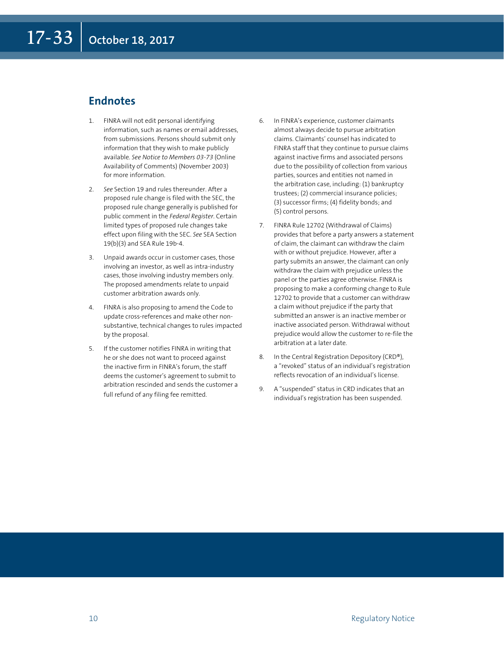#### **Endnotes**

- 1. FINRA will not edit personal identifying information, such as names or email addresses, from submissions. Persons should submit only information that they wish to make publicly available. *See Notice to Members 03-73* (Online Availability of Comments) (November 2003) for more information.
- 2. *See* Section 19 and rules thereunder. After a proposed rule change is filed with the SEC, the proposed rule change generally is published for public comment in the *Federal Register*. Certain limited types of proposed rule changes take effect upon filing with the SEC. *See* SEA Section 19(b)(3) and SEA Rule 19b-4.
- 3. Unpaid awards occur in customer cases, those involving an investor, as well as intra-industry cases, those involving industry members only. The proposed amendments relate to unpaid customer arbitration awards only.
- 4. FINRA is also proposing to amend the Code to update cross-references and make other nonsubstantive, technical changes to rules impacted by the proposal.
- 5. If the customer notifies FINRA in writing that he or she does not want to proceed against the inactive firm in FINRA's forum, the staff deems the customer's agreement to submit to arbitration rescinded and sends the customer a full refund of any filing fee remitted.
- 6. In FINRA's experience, customer claimants almost always decide to pursue arbitration claims. Claimants' counsel has indicated to FINRA staff that they continue to pursue claims against inactive firms and associated persons due to the possibility of collection from various parties, sources and entities not named in the arbitration case, including: (1) bankruptcy trustees; (2) commercial insurance policies; (3) successor firms; (4) fidelity bonds; and (5) control persons.
- 7. FINRA Rule 12702 (Withdrawal of Claims) provides that before a party answers a statement of claim, the claimant can withdraw the claim with or without prejudice. However, after a party submits an answer, the claimant can only withdraw the claim with prejudice unless the panel or the parties agree otherwise. FINRA is proposing to make a conforming change to Rule 12702 to provide that a customer can withdraw a claim without prejudice if the party that submitted an answer is an inactive member or inactive associated person. Withdrawal without prejudice would allow the customer to re-file the arbitration at a later date.
- 8. In the Central Registration Depository (CRD®), a "revoked" status of an individual's registration reflects revocation of an individual's license.
- 9. A "suspended" status in CRD indicates that an individual's registration has been suspended.